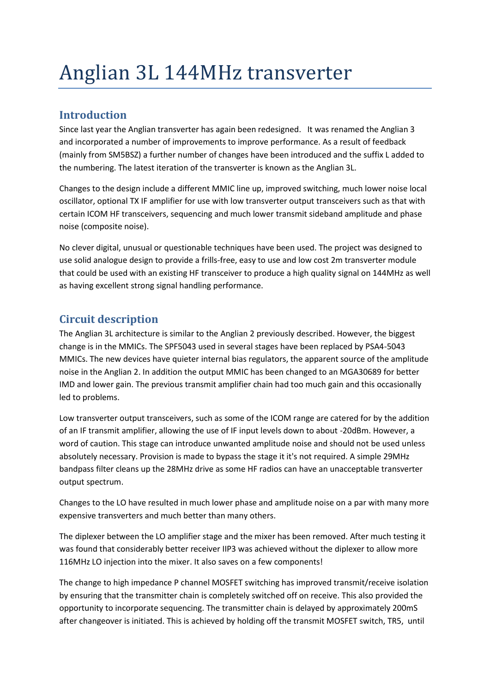# Anglian 3L 144MHz transverter

## **Introduction**

Since last year the Anglian transverter has again been redesigned. It was renamed the Anglian 3 and incorporated a number of improvements to improve performance. As a result of feedback (mainly from SM5BSZ) a further number of changes have been introduced and the suffix L added to the numbering. The latest iteration of the transverter is known as the Anglian 3L.

Changes to the design include a different MMIC line up, improved switching, much lower noise local oscillator, optional TX IF amplifier for use with low transverter output transceivers such as that with certain ICOM HF transceivers, sequencing and much lower transmit sideband amplitude and phase noise (composite noise).

No clever digital, unusual or questionable techniques have been used. The project was designed to use solid analogue design to provide a frills-free, easy to use and low cost 2m transverter module that could be used with an existing HF transceiver to produce a high quality signal on 144MHz as well as having excellent strong signal handling performance.

## **Circuit description**

The Anglian 3L architecture is similar to the Anglian 2 previously described. However, the biggest change is in the MMICs. The SPF5043 used in several stages have been replaced by PSA4-5043 MMICs. The new devices have quieter internal bias regulators, the apparent source of the amplitude noise in the Anglian 2. In addition the output MMIC has been changed to an MGA30689 for better IMD and lower gain. The previous transmit amplifier chain had too much gain and this occasionally led to problems.

Low transverter output transceivers, such as some of the ICOM range are catered for by the addition of an IF transmit amplifier, allowing the use of IF input levels down to about -20dBm. However, a word of caution. This stage can introduce unwanted amplitude noise and should not be used unless absolutely necessary. Provision is made to bypass the stage it it's not required. A simple 29MHz bandpass filter cleans up the 28MHz drive as some HF radios can have an unacceptable transverter output spectrum.

Changes to the LO have resulted in much lower phase and amplitude noise on a par with many more expensive transverters and much better than many others.

The diplexer between the LO amplifier stage and the mixer has been removed. After much testing it was found that considerably better receiver IIP3 was achieved without the diplexer to allow more 116MHz LO injection into the mixer. It also saves on a few components!

The change to high impedance P channel MOSFET switching has improved transmit/receive isolation by ensuring that the transmitter chain is completely switched off on receive. This also provided the opportunity to incorporate sequencing. The transmitter chain is delayed by approximately 200mS after changeover is initiated. This is achieved by holding off the transmit MOSFET switch, TR5, until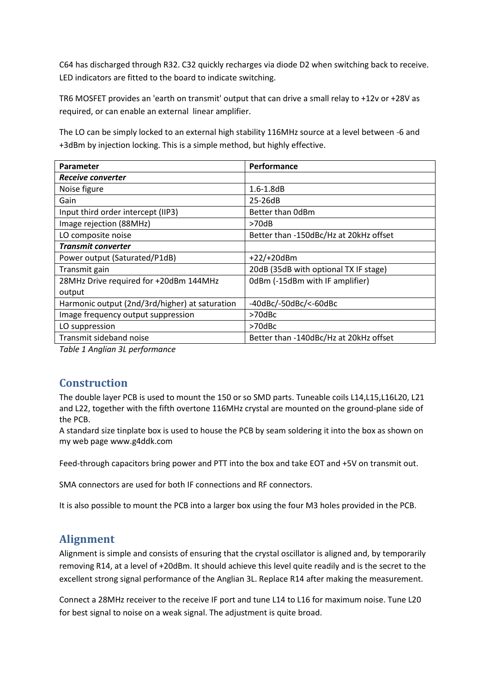C64 has discharged through R32. C32 quickly recharges via diode D2 when switching back to receive. LED indicators are fitted to the board to indicate switching.

TR6 MOSFET provides an 'earth on transmit' output that can drive a small relay to +12v or +28V as required, or can enable an external linear amplifier.

The LO can be simply locked to an external high stability 116MHz source at a level between -6 and +3dBm by injection locking. This is a simple method, but highly effective.

| Parameter                                      | Performance                            |
|------------------------------------------------|----------------------------------------|
| Receive converter                              |                                        |
| Noise figure                                   | $1.6 - 1.8$ dB                         |
| Gain                                           | 25-26dB                                |
| Input third order intercept (IIP3)             | Better than OdBm                       |
| Image rejection (88MHz)                        | >70dB                                  |
| LO composite noise                             | Better than -150dBc/Hz at 20kHz offset |
| <b>Transmit converter</b>                      |                                        |
| Power output (Saturated/P1dB)                  | $+22/+20dBm$                           |
| Transmit gain                                  | 20dB (35dB with optional TX IF stage)  |
| 28MHz Drive required for +20dBm 144MHz         | 0dBm (-15dBm with IF amplifier)        |
| output                                         |                                        |
| Harmonic output (2nd/3rd/higher) at saturation | -40dBc/-50dBc/<-60dBc                  |
| Image frequency output suppression             | >70dBc                                 |
| LO suppression                                 | >70dBc                                 |
| Transmit sideband noise                        | Better than -140dBc/Hz at 20kHz offset |

*Table 1 Anglian 3L performance*

### **Construction**

The double layer PCB is used to mount the 150 or so SMD parts. Tuneable coils L14,L15,L16L20, L21 and L22, together with the fifth overtone 116MHz crystal are mounted on the ground-plane side of the PCB.

A standard size tinplate box is used to house the PCB by seam soldering it into the box as shown on my web page www.g4ddk.com

Feed-through capacitors bring power and PTT into the box and take EOT and +5V on transmit out.

SMA connectors are used for both IF connections and RF connectors.

It is also possible to mount the PCB into a larger box using the four M3 holes provided in the PCB.

### **Alignment**

Alignment is simple and consists of ensuring that the crystal oscillator is aligned and, by temporarily removing R14, at a level of +20dBm. It should achieve this level quite readily and is the secret to the excellent strong signal performance of the Anglian 3L. Replace R14 after making the measurement.

Connect a 28MHz receiver to the receive IF port and tune L14 to L16 for maximum noise. Tune L20 for best signal to noise on a weak signal. The adjustment is quite broad.